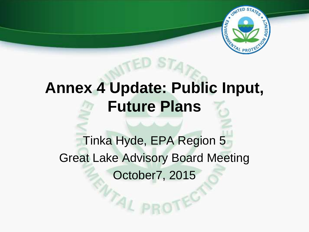

# **Annex 4 Update: Public Input, Future Plans**

Tinka Hyde, EPA Region 5 Great Lake Advisory Board Meeting October7, 2015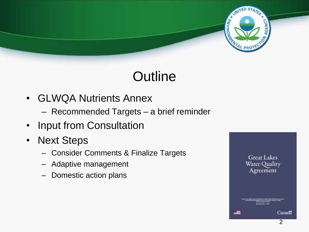

# **Outline**

- GLWQA Nutrients Annex
	- Recommended Targets a brief reminder
- Input from Consultation
- Next Steps
	- Consider Comments & Finalize Targets
	- Adaptive management
	- Domestic action plans

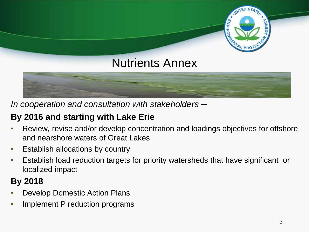# Nutrients Annex

*In cooperation and consultation with stakeholders –*

### **By 2016 and starting with Lake Erie**

- Review, revise and/or develop concentration and loadings objectives for offshore and nearshore waters of Great Lakes
- Establish allocations by country
- Establish load reduction targets for priority watersheds that have significant or localized impact

### **By 2018**

- Develop Domestic Action Plans
- Implement P reduction programs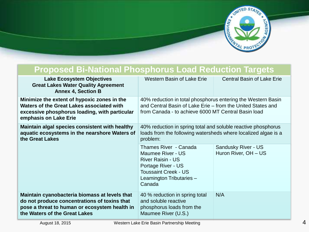

| <b>Proposed Bi-National Phosphorus Load Reduction Targets</b>                                                                                                                   |                                                                                                                                                                                    |                                             |
|---------------------------------------------------------------------------------------------------------------------------------------------------------------------------------|------------------------------------------------------------------------------------------------------------------------------------------------------------------------------------|---------------------------------------------|
| <b>Lake Ecosystem Objectives</b><br><b>Great Lakes Water Quality Agreement</b><br><b>Annex 4, Section B</b>                                                                     | <b>Western Basin of Lake Erie</b>                                                                                                                                                  | <b>Central Basin of Lake Erie</b>           |
| Minimize the extent of hypoxic zones in the<br>Waters of the Great Lakes associated with<br>excessive phosphorus loading, with particular<br>emphasis on Lake Erie              | 40% reduction in total phosphorus entering the Western Basin<br>and Central Basin of Lake Erie – from the United States and<br>from Canada - to achieve 6000 MT Central Basin load |                                             |
| Maintain algal species consistent with healthy<br>aquatic ecosystems in the nearshore Waters of<br>the Great Lakes                                                              | 40% reduction in spring total and soluble reactive phosphorus<br>loads from the following watersheds where localized algae is a<br>problem:                                        |                                             |
|                                                                                                                                                                                 | Thames River - Canada<br>Maumee River - US<br><b>River Raisin - US</b><br>Portage River - US<br><b>Toussaint Creek - US</b><br>Leamington Tributaries -<br>Canada                  | Sandusky River - US<br>Huron River, OH - US |
| Maintain cyanobacteria biomass at levels that<br>do not produce concentrations of toxins that<br>pose a threat to human or ecosystem health in<br>the Waters of the Great Lakes | 40 % reduction in spring total<br>and soluble reactive<br>phosphorus loads from the<br>Maumee River (U.S.)                                                                         | N/A                                         |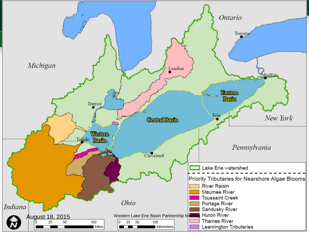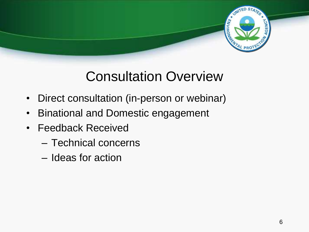

### Consultation Overview

- Direct consultation (in-person or webinar)
- Binational and Domestic engagement
- Feedback Received
	- Technical concerns
	- Ideas for action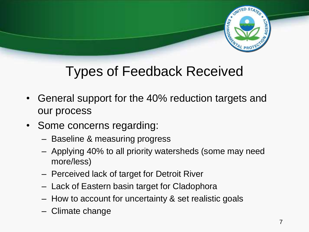

## Types of Feedback Received

- General support for the 40% reduction targets and our process
- Some concerns regarding:
	- Baseline & measuring progress
	- Applying 40% to all priority watersheds (some may need more/less)
	- Perceived lack of target for Detroit River
	- Lack of Eastern basin target for Cladophora
	- How to account for uncertainty & set realistic goals
	- Climate change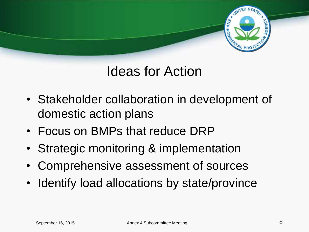

### Ideas for Action

- Stakeholder collaboration in development of domestic action plans
- Focus on BMPs that reduce DRP
- Strategic monitoring & implementation
- Comprehensive assessment of sources
- Identify load allocations by state/province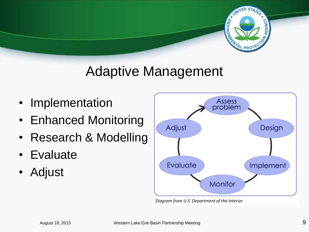

### Adaptive Management

- Implementation
- Enhanced Monitoring
- Research & Modelling
- Evaluate
- Adjust



*Diagram from U.S. Department of the Interior*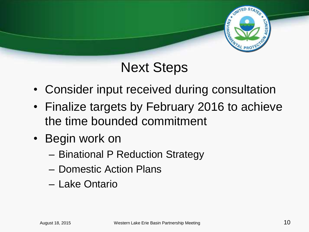

### Next Steps

- Consider input received during consultation
- Finalize targets by February 2016 to achieve the time bounded commitment
- Begin work on
	- Binational P Reduction Strategy
	- Domestic Action Plans
	- Lake Ontario